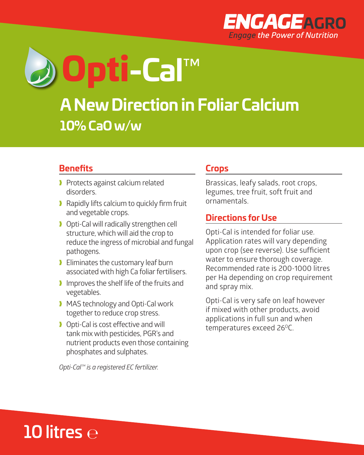



# **A New Direction in Foliar Calcium 10% CaO w/w**

#### **Benefits**

- **Protects against calcium related** disorders.
- **Rapidly lifts calcium to quickly firm fruit** and vegetable crops.
- Opti-Cal will radically strengthen cell structure, which will aid the crop to reduce the ingress of microbial and fungal pathogens.
- **Eliminates the customary leaf burn** associated with high Ca foliar fertilisers.
- I Improves the shelf life of the fruits and vegetables.
- **MAS technology and Opti-Cal work** together to reduce crop stress.
- ▶ Opti-Cal is cost effective and will tank mix with pesticides, PGR's and nutrient products even those containing phosphates and sulphates.

*Opti-Cal™ is a registered EC fertilizer.*

#### **Crops**

Brassicas, leafy salads, root crops, legumes, tree fruit, soft fruit and ornamentals.

### **Directions for Use**

Opti-Cal is intended for foliar use. Application rates will vary depending upon crop (see reverse). Use sufficient water to ensure thorough coverage. Recommended rate is 200-1000 litres per Ha depending on crop requirement and spray mix.

Opti-Cal is very safe on leaf however if mixed with other products, avoid applications in full sun and when temperatures exceed 26<sup>o</sup>C.

# 10 litres  $\ominus$